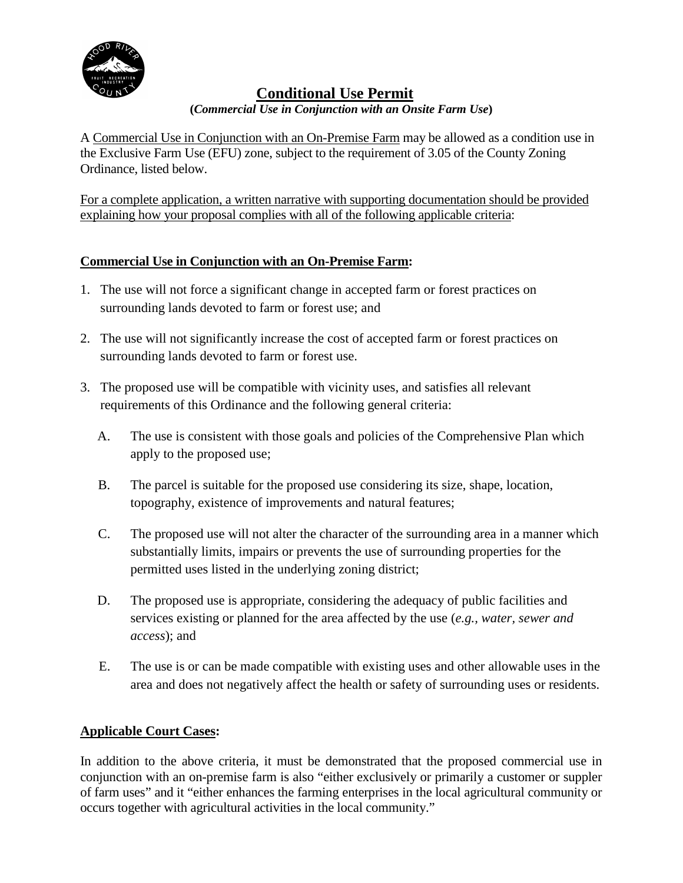

# **Conditional Use Permit**

### **(***Commercial Use in Conjunction with an Onsite Farm Use***)**

A Commercial Use in Conjunction with an On-Premise Farm may be allowed as a condition use in the Exclusive Farm Use (EFU) zone, subject to the requirement of 3.05 of the County Zoning Ordinance, listed below.

For a complete application, a written narrative with supporting documentation should be provided explaining how your proposal complies with all of the following applicable criteria:

## **Commercial Use in Conjunction with an On-Premise Farm:**

- 1. The use will not force a significant change in accepted farm or forest practices on surrounding lands devoted to farm or forest use; and
- 2. The use will not significantly increase the cost of accepted farm or forest practices on surrounding lands devoted to farm or forest use.
- 3. The proposed use will be compatible with vicinity uses, and satisfies all relevant requirements of this Ordinance and the following general criteria:
	- A. The use is consistent with those goals and policies of the Comprehensive Plan which apply to the proposed use;
	- B. The parcel is suitable for the proposed use considering its size, shape, location, topography, existence of improvements and natural features;
	- C. The proposed use will not alter the character of the surrounding area in a manner which substantially limits, impairs or prevents the use of surrounding properties for the permitted uses listed in the underlying zoning district;
	- D. The proposed use is appropriate, considering the adequacy of public facilities and services existing or planned for the area affected by the use (*e.g., water, sewer and access*); and
	- E. The use is or can be made compatible with existing uses and other allowable uses in the area and does not negatively affect the health or safety of surrounding uses or residents.

## **Applicable Court Cases:**

In addition to the above criteria, it must be demonstrated that the proposed commercial use in conjunction with an on-premise farm is also "either exclusively or primarily a customer or suppler of farm uses" and it "either enhances the farming enterprises in the local agricultural community or occurs together with agricultural activities in the local community."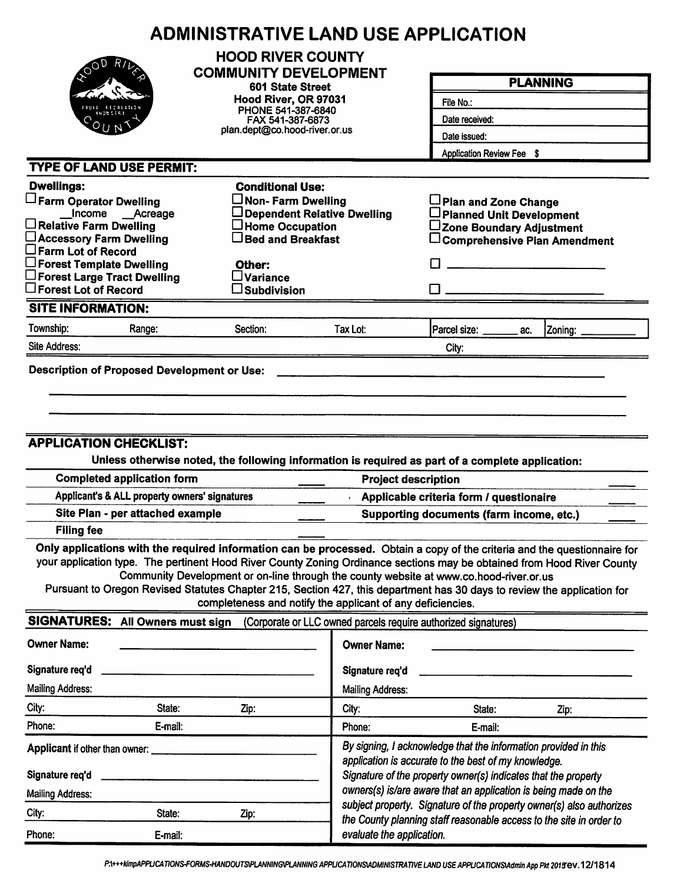|                                                                                                                                                                                                                                                    | <b>ADMINISTRATIVE LAND USE APPLICATION</b>                                                                                                                                                                                                                                                                                                                                                                             |                                                                                                                                                                                           |                                                                      |                                                                                     |  |  |  |
|----------------------------------------------------------------------------------------------------------------------------------------------------------------------------------------------------------------------------------------------------|------------------------------------------------------------------------------------------------------------------------------------------------------------------------------------------------------------------------------------------------------------------------------------------------------------------------------------------------------------------------------------------------------------------------|-------------------------------------------------------------------------------------------------------------------------------------------------------------------------------------------|----------------------------------------------------------------------|-------------------------------------------------------------------------------------|--|--|--|
|                                                                                                                                                                                                                                                    | <b>HOOD RIVER COUNTY</b><br><b>COMMUNITY DEVELOPMENT</b>                                                                                                                                                                                                                                                                                                                                                               |                                                                                                                                                                                           |                                                                      | <b>PLANNING</b>                                                                     |  |  |  |
|                                                                                                                                                                                                                                                    | 601 State Street                                                                                                                                                                                                                                                                                                                                                                                                       |                                                                                                                                                                                           |                                                                      |                                                                                     |  |  |  |
|                                                                                                                                                                                                                                                    | Hood River, OR 97031<br>PHONE 541-387-6840                                                                                                                                                                                                                                                                                                                                                                             |                                                                                                                                                                                           | File No.:                                                            |                                                                                     |  |  |  |
|                                                                                                                                                                                                                                                    | FAX 541-387-6873                                                                                                                                                                                                                                                                                                                                                                                                       |                                                                                                                                                                                           | Date received:                                                       |                                                                                     |  |  |  |
|                                                                                                                                                                                                                                                    |                                                                                                                                                                                                                                                                                                                                                                                                                        | plan.dept@co.hood-river.or.us                                                                                                                                                             |                                                                      | Date issued:<br>Application Review Fee \$                                           |  |  |  |
|                                                                                                                                                                                                                                                    |                                                                                                                                                                                                                                                                                                                                                                                                                        |                                                                                                                                                                                           |                                                                      |                                                                                     |  |  |  |
| <b>TYPE OF LAND USE PERMIT:</b>                                                                                                                                                                                                                    |                                                                                                                                                                                                                                                                                                                                                                                                                        |                                                                                                                                                                                           |                                                                      |                                                                                     |  |  |  |
| <b>Dwellings:</b>                                                                                                                                                                                                                                  | <b>Conditional Use:</b>                                                                                                                                                                                                                                                                                                                                                                                                |                                                                                                                                                                                           |                                                                      |                                                                                     |  |  |  |
| Farm Operator Dwelling<br>Income __Acreage                                                                                                                                                                                                         | $\Box$ Non- Farm Dwelling                                                                                                                                                                                                                                                                                                                                                                                              | Dependent Relative Dwelling                                                                                                                                                               | Plan and Zone Change<br>□ Planned Unit Development                   |                                                                                     |  |  |  |
| $\Box$ Relative Farm Dwelling                                                                                                                                                                                                                      | $\Box$ Home Occupation                                                                                                                                                                                                                                                                                                                                                                                                 |                                                                                                                                                                                           | ∟Zone Boundary Adjustment                                            |                                                                                     |  |  |  |
| □ Accessory Farm Dwelling                                                                                                                                                                                                                          | $\Box$ Bed and Breakfast                                                                                                                                                                                                                                                                                                                                                                                               |                                                                                                                                                                                           |                                                                      | $\Box$ Comprehensive Plan Amendment                                                 |  |  |  |
| $\square$ Farm Lot of Record<br>$\Box$ Forest Template Dwelling                                                                                                                                                                                    | Other:                                                                                                                                                                                                                                                                                                                                                                                                                 |                                                                                                                                                                                           |                                                                      |                                                                                     |  |  |  |
| $\square$ Forest Large Tract Dwelling                                                                                                                                                                                                              | $\square$ Variance                                                                                                                                                                                                                                                                                                                                                                                                     |                                                                                                                                                                                           |                                                                      |                                                                                     |  |  |  |
| $\square$ Forest Lot of Record                                                                                                                                                                                                                     | $\square$ Subdivision                                                                                                                                                                                                                                                                                                                                                                                                  |                                                                                                                                                                                           |                                                                      |                                                                                     |  |  |  |
| <b>SITE INFORMATION:</b>                                                                                                                                                                                                                           |                                                                                                                                                                                                                                                                                                                                                                                                                        |                                                                                                                                                                                           |                                                                      |                                                                                     |  |  |  |
| Township:<br>Range:                                                                                                                                                                                                                                | Section:                                                                                                                                                                                                                                                                                                                                                                                                               | Tax Lot:                                                                                                                                                                                  | Parcel size: ______<br>ac.                                           | Zoning:                                                                             |  |  |  |
| Site Address:                                                                                                                                                                                                                                      |                                                                                                                                                                                                                                                                                                                                                                                                                        |                                                                                                                                                                                           | City:                                                                |                                                                                     |  |  |  |
| <b>Filing fee</b>                                                                                                                                                                                                                                  | <b>APPLICATION CHECKLIST:</b><br>Unless otherwise noted, the following information is required as part of a complete application:<br><b>Completed application form</b><br><b>Project description</b><br>Applicant's & ALL property owners' signatures<br>Site Plan - per attached example<br>Only applications with the required information can be processed. Obtain a copy of the criteria and the questionnaire for |                                                                                                                                                                                           |                                                                      | Applicable criteria form / questionaire<br>Supporting documents (farm income, etc.) |  |  |  |
| your application type. The pertinent Hood River County Zoning Ordinance sections may be obtained from Hood River County<br>Pursuant to Oregon Revised Statutes Chapter 215, Section 427, this department has 30 days to review the application for | Community Development or on-line through the county website at www.co.hood-river.or.us<br>completeness and notify the applicant of any deficiencies.                                                                                                                                                                                                                                                                   |                                                                                                                                                                                           |                                                                      |                                                                                     |  |  |  |
| SIGNATURES: All Owners must sign                                                                                                                                                                                                                   |                                                                                                                                                                                                                                                                                                                                                                                                                        |                                                                                                                                                                                           | (Corporate or LLC owned parcels require authorized signatures)       |                                                                                     |  |  |  |
| <b>Owner Name:</b>                                                                                                                                                                                                                                 |                                                                                                                                                                                                                                                                                                                                                                                                                        | <b>Owner Name:</b>                                                                                                                                                                        |                                                                      |                                                                                     |  |  |  |
| Signature req'd                                                                                                                                                                                                                                    |                                                                                                                                                                                                                                                                                                                                                                                                                        | Signature req'd                                                                                                                                                                           |                                                                      |                                                                                     |  |  |  |
| <b>Mailing Address:</b>                                                                                                                                                                                                                            |                                                                                                                                                                                                                                                                                                                                                                                                                        | <b>Mailing Address:</b>                                                                                                                                                                   |                                                                      |                                                                                     |  |  |  |
| City:<br>State:                                                                                                                                                                                                                                    | Zip:                                                                                                                                                                                                                                                                                                                                                                                                                   | City:                                                                                                                                                                                     | State:                                                               | Zip:                                                                                |  |  |  |
| Phone:<br>E-mail:                                                                                                                                                                                                                                  |                                                                                                                                                                                                                                                                                                                                                                                                                        | Phone:                                                                                                                                                                                    | E-mail:                                                              |                                                                                     |  |  |  |
| Applicant if other than owner:<br>Signature req'd                                                                                                                                                                                                  |                                                                                                                                                                                                                                                                                                                                                                                                                        | By signing, I acknowledge that the information provided in this<br>application is accurate to the best of my knowledge.<br>Signature of the property owner(s) indicates that the property |                                                                      |                                                                                     |  |  |  |
| <b>Mailing Address:</b>                                                                                                                                                                                                                            |                                                                                                                                                                                                                                                                                                                                                                                                                        |                                                                                                                                                                                           | owners(s) is/are aware that an application is being made on the      |                                                                                     |  |  |  |
| City:<br>State:                                                                                                                                                                                                                                    | Zip:                                                                                                                                                                                                                                                                                                                                                                                                                   |                                                                                                                                                                                           | subject property. Signature of the property owner(s) also authorizes |                                                                                     |  |  |  |
| Phone:<br>E-mail:                                                                                                                                                                                                                                  |                                                                                                                                                                                                                                                                                                                                                                                                                        | evaluate the application.                                                                                                                                                                 | the County planning staff reasonable access to the site in order to  |                                                                                     |  |  |  |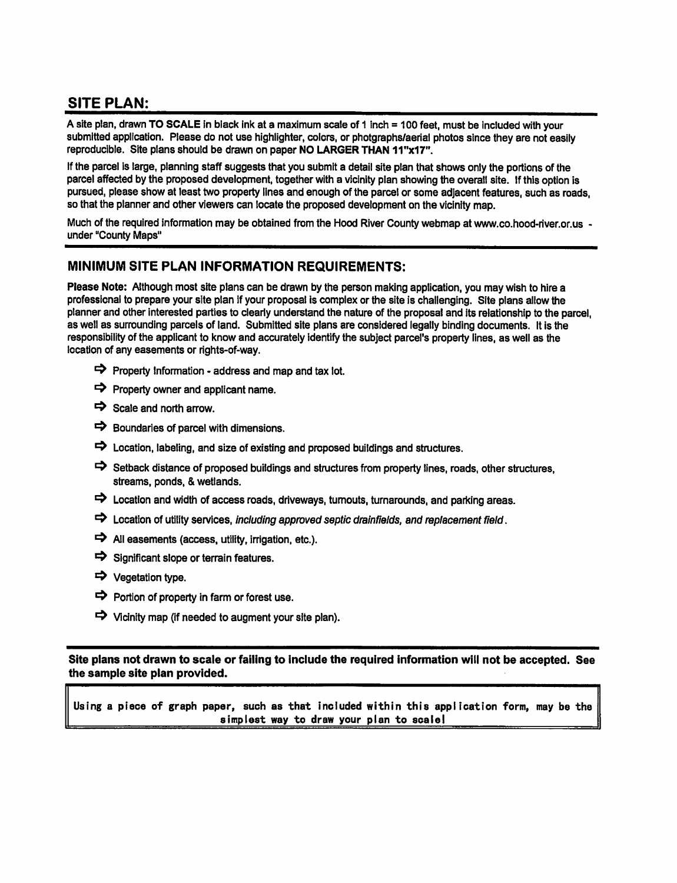# **SITE PLAN:**

A site plan, drawn TO SCALE in black ink at a maximum scale of 1 inch = 100 feet, must be included with your submitted application. Please do not use highlighter, colors, or photgraphs/aerial photos since they are not easily reproducible. Site plans should be drawn on paper NO LARGER THAN 11"x17".

If the parcel is large, planning staff suggests that you submit a detail site plan that shows only the portions of the parcel affected by the proposed development, together with a vicinity plan showing the overall site. If this option is pursued, please show at least two property lines and enough of the parcel or some adjacent features, such as roads, so that the planner and other viewers can locate the proposed development on the vicinity map.

Much of the required information may be obtained from the Hood River County webmap at www.co.hood-river.or.us under "County Maps"

### MINIMUM SITE PLAN INFORMATION REQUIREMENTS:

Please Note: Although most site plans can be drawn by the person making application, you may wish to hire a professional to prepare your site plan if your proposal is complex or the site is challenging. Site plans allow the planner and other interested parties to clearly understand the nature of the proposal and its relationship to the parcel. as well as surrounding parcels of land. Submitted site plans are considered legally binding documents. It is the responsibility of the applicant to know and accurately identify the subject parcel's property lines, as well as the location of any easements or rights-of-way.

- $\Rightarrow$  Property Information address and map and tax lot.
- $\Rightarrow$  Property owner and applicant name.
- $\Rightarrow$  Scale and north arrow.
- $\Rightarrow$  Boundaries of parcel with dimensions.
- $\Rightarrow$  Location, labeling, and size of existing and proposed buildings and structures.
- Setback distance of proposed buildings and structures from property lines, roads, other structures, streams, ponds, & wetlands.
- $\Rightarrow$  Location and width of access roads, driveways, turnouts, turnarounds, and parking areas.
- $\Rightarrow$  Location of utility services, including approved septic drainfields, and replacement field.
- $\Rightarrow$  All easements (access, utility, irrigation, etc.).
- $\Rightarrow$  Significant slope or terrain features.
- → Vegetation type.
- $\Rightarrow$  Portion of property in farm or forest use.
- $\Rightarrow$  Vicinity map (if needed to augment your site plan).

Site plans not drawn to scale or failing to include the required information will not be accepted. See the sample site plan provided.

Using a piece of graph paper, such as that included within this application form, may be the simplest way to draw your plan to scale!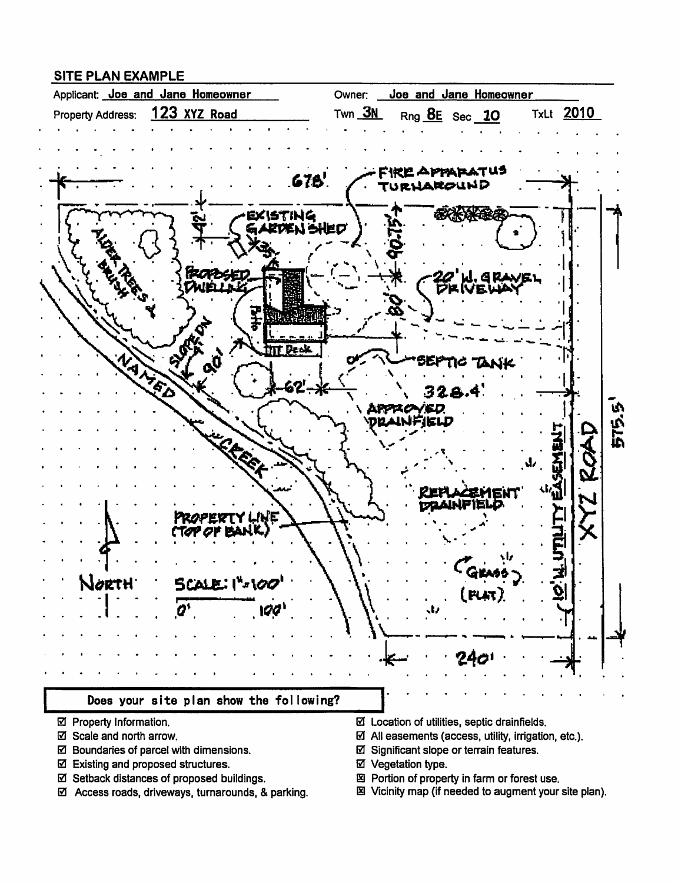### **SITE PLAN EXAMPLE**



- ☑ Property Information.
- ☑ Scale and north arrow.
- ☑ Boundaries of parcel with dimensions.
- ☑ Existing and proposed structures.
- ☑ Setback distances of proposed buildings.
- ☑ Access roads, driveways, turnarounds, & parking.
- $\boxtimes$  Location of utilities, septic drainfields.
- $\boxtimes$  All easements (access, utility, irrigation, etc.).
- ☑ Significant slope or terrain features.
- ☑ Vegetation type.
- 図 Portion of property in farm or forest use.
- 图 Vicinity map (if needed to augment your site plan).